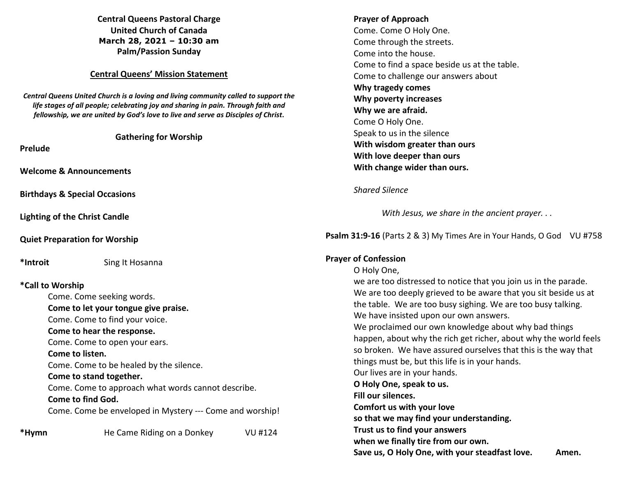**Central Queens Pastoral Charge United Church of Canada March 28, 2021 – 10:30 am Palm/Passion Sunday** 

#### **Central Queens' Mission Statement**

*Central Queens United Church is a loving and living community called to support the life stages of all people; celebrating joy and sharing in pain. Through faith and fellowship, we are united by God's love to live and serve as Disciples of Christ***.** 

**Gathering for Worship** 

**Prelude** 

**Welcome & Announcements** 

**Birthdays & Special Occasions** 

**Lighting of the Christ Candle** 

**Quiet Preparation for Worship** 

**\*Introit** Sing It Hosanna

## **\*Call to Worship**

| Come. Come seeking words.                                |
|----------------------------------------------------------|
| Come to let your tongue give praise.                     |
| Come. Come to find your voice.                           |
| Come to hear the response.                               |
| Come. Come to open your ears.                            |
| Come to listen.                                          |
| Come. Come to be healed by the silence.                  |
| Come to stand together.                                  |
| Come. Come to approach what words cannot describe.       |
| Come to find God.                                        |
| Come. Come be enveloped in Mystery --- Come and worship! |
| He Came Riding on a Donkey<br>VU #124                    |

# **Prayer of Approach** Come. Come O Holy One. Come through the streets. Come into the house. Come to find a space beside us at the table. Come to challenge our answers about  **Why tragedy comes Why poverty increases Why we are afraid.** Come O Holy One. Speak to us in the silence  **With wisdom greater than ours With love deeper than ours With change wider than ours.**

#### *Shared Silence*

*With Jesus, we share in the ancient prayer. . .* 

**Psalm 31:9-16** (Parts 2 & 3) My Times Are in Your Hands, O God VU #758

## **Prayer of Confession**

O Holy One, we are too distressed to notice that you join us in the parade. We are too deeply grieved to be aware that you sit beside us at the table. We are too busy sighing. We are too busy talking. We have insisted upon our own answers. We proclaimed our own knowledge about why bad things happen, about why the rich get richer, about why the world feels so broken. We have assured ourselves that this is the way that things must be, but this life is in your hands. Our lives are in your hands.  **O Holy One, speak to us. Fill our silences. Comfort us with your love so that we may find your understanding. Trust us to find your answers when we finally tire from our own.** Save us, O Holy One, with your steadfast love. Amen.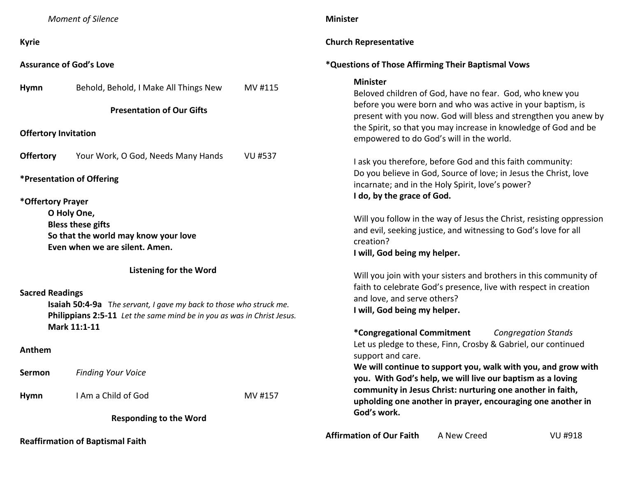|                                               | <b>Moment of Silence</b>                                                                                                                                                                      |                | <b>Minister</b>                                                                                                                                                                                                                                                                                                                   |
|-----------------------------------------------|-----------------------------------------------------------------------------------------------------------------------------------------------------------------------------------------------|----------------|-----------------------------------------------------------------------------------------------------------------------------------------------------------------------------------------------------------------------------------------------------------------------------------------------------------------------------------|
| <b>Kyrie</b>                                  |                                                                                                                                                                                               |                | <b>Church Representative</b>                                                                                                                                                                                                                                                                                                      |
| <b>Assurance of God's Love</b>                |                                                                                                                                                                                               |                | *Questions of Those Affirming Their Baptismal Vows                                                                                                                                                                                                                                                                                |
| <b>Hymn</b>                                   | Behold, Behold, I Make All Things New                                                                                                                                                         | MV #115        | <b>Minister</b><br>Beloved children of God, have no fear. God, who knew you<br>before you were born and who was active in your baptism, is                                                                                                                                                                                        |
| <b>Offertory Invitation</b>                   | <b>Presentation of Our Gifts</b>                                                                                                                                                              |                | present with you now. God will bless and strengthen you anew by<br>the Spirit, so that you may increase in knowledge of God and be<br>empowered to do God's will in the world.                                                                                                                                                    |
| <b>Offertory</b><br>*Presentation of Offering | Your Work, O God, Needs Many Hands                                                                                                                                                            | <b>VU #537</b> | I ask you therefore, before God and this faith community:<br>Do you believe in God, Source of love; in Jesus the Christ, love<br>incarnate; and in the Holy Spirit, love's power?                                                                                                                                                 |
| *Offertory Prayer                             | O Holy One,<br><b>Bless these gifts</b><br>So that the world may know your love<br>Even when we are silent. Amen.                                                                             |                | I do, by the grace of God.<br>Will you follow in the way of Jesus the Christ, resisting oppression<br>and evil, seeking justice, and witnessing to God's love for all<br>creation?<br>I will, God being my helper.                                                                                                                |
| <b>Sacred Readings</b><br>Anthem              | <b>Listening for the Word</b><br>Isaiah 50:4-9a The servant, I gave my back to those who struck me.<br>Philippians 2:5-11 Let the same mind be in you as was in Christ Jesus.<br>Mark 11:1-11 |                | Will you join with your sisters and brothers in this community of<br>faith to celebrate God's presence, live with respect in creation<br>and love, and serve others?<br>I will, God being my helper.<br>*Congregational Commitment<br><b>Congregation Stands</b><br>Let us pledge to these, Finn, Crosby & Gabriel, our continued |
| Sermon                                        | <b>Finding Your Voice</b>                                                                                                                                                                     |                | support and care.<br>We will continue to support you, walk with you, and grow with<br>you. With God's help, we will live our baptism as a loving                                                                                                                                                                                  |
| <b>Hymn</b>                                   | I Am a Child of God                                                                                                                                                                           | MV #157        | community in Jesus Christ: nurturing one another in faith,<br>upholding one another in prayer, encouraging one another in<br>God's work.                                                                                                                                                                                          |
|                                               | <b>Responding to the Word</b><br><b>Reaffirmation of Baptismal Faith</b>                                                                                                                      |                | <b>Affirmation of Our Faith</b><br>A New Creed<br>VU #918                                                                                                                                                                                                                                                                         |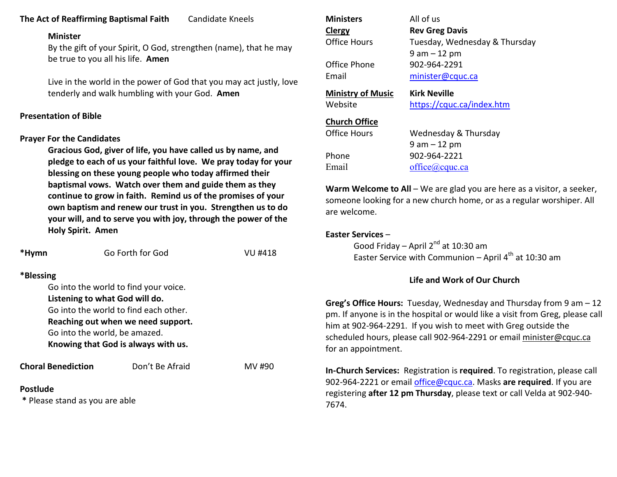## **The Act of Reaffirming Baptismal Faith** Candidate Kneels

#### **Minister**

 By the gift of your Spirit, O God, strengthen (name), that he may be true to you all his life. **Amen** 

Live in the world in the power of God that you may act justly, love tenderly and walk humbling with your God. **Amen** 

## **Presentation of Bible**

## **Prayer For the Candidates**

 **Gracious God, giver of life, you have called us by name, and pledge to each of us your faithful love. We pray today for your blessing on these young people who today affirmed their baptismal vows. Watch over them and guide them as they continue to grow in faith. Remind us of the promises of your own baptism and renew our trust in you. Strengthen us to do your will, and to serve you with joy, through the power of the Holy Spirit. Amen** 

| *Hymn           |                                | Go Forth for God                      | VU #418 |
|-----------------|--------------------------------|---------------------------------------|---------|
| *Blessing       |                                |                                       |         |
|                 |                                | Go into the world to find your voice. |         |
|                 | Listening to what God will do. |                                       |         |
|                 |                                | Go into the world to find each other. |         |
|                 |                                | Reaching out when we need support.    |         |
|                 | Go into the world, be amazed.  |                                       |         |
|                 |                                | Knowing that God is always with us.   |         |
|                 | <b>Choral Benediction</b>      | Don't Be Afraid                       | MV #90  |
| <b>Postlude</b> | * Please stand as you are able |                                       |         |

| <b>Ministers</b>         | All of us                     |
|--------------------------|-------------------------------|
| Clergy                   | <b>Rev Greg Davis</b>         |
| Office Hours             | Tuesday, Wednesday & Thursday |
|                          | $9$ am $-12$ pm               |
| Office Phone             | 902-964-2291                  |
| Email                    | minister@cquc.ca              |
|                          |                               |
| <b>Ministry of Music</b> | <b>Kirk Neville</b>           |
| Website                  | https://cquc.ca/index.htm     |
| <b>Church Office</b>     |                               |
| <b>Office Hours</b>      | Wednesday & Thursday          |
|                          | 9 am – 12 pm                  |
| Phone                    | 902-964-2221                  |

**Warm Welcome to All** – We are glad you are here as a visitor, a seeker,someone looking for a new church home, or as a regular worshiper. All are welcome.

#### **Easter Services** –

Good Friday – April 2<sup>nd</sup> at 10:30 am Easter Service with Communion – April  $4^{\text{th}}$  at 10:30 am

## **Life and Work of Our Church**

**Greg's Office Hours:** Tuesday, Wednesday and Thursday from 9 am – 12 pm. If anyone is in the hospital or would like a visit from Greg, please call him at 902-964-2291. If you wish to meet with Greg outside the scheduled hours, please call 902-964-2291 or email minister@cquc.ca for an appointment.

**In-Church Services:** Registration is **required**. To registration, please call 902-964-2221 or email office@cquc.ca. Masks **are required**. If you are registering **after 12 pm Thursday**, please text or call Velda at 902-940- 7674.